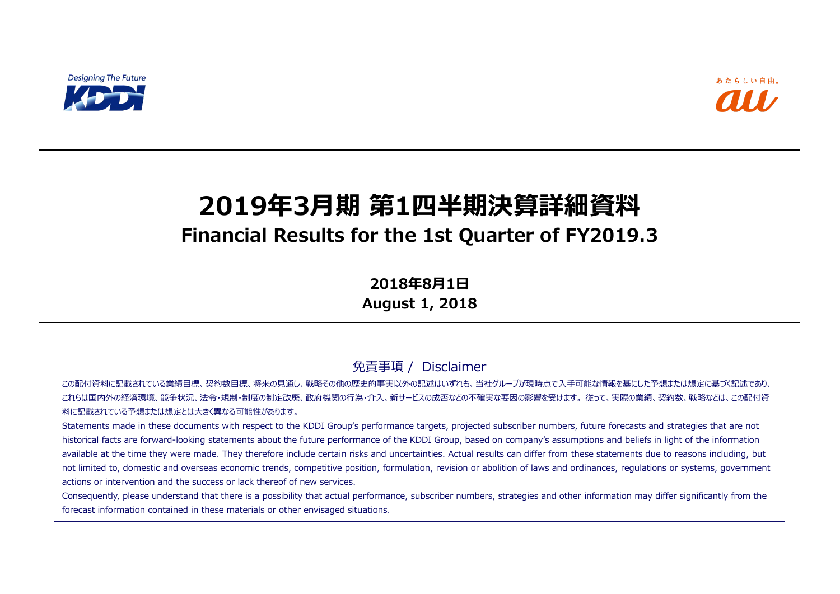

# **2019年3月期 第1四半期決算詳細資料 Financial Results for the 1st Quarter of FY2019.3**

**2018年8月1日**

**August 1, 2018**

免責事項 / Disclaimer

この配付資料に記載されている業績目標、契約数目標、将来の見通し、戦略その他の歴史的事実以外の記述はいずれも、当社グループが現時点で入手可能な情報を基にした予想または想定に基づく記述であり、 これらは国内外の経済環境、競争状況、法令・規制・制度の制定改廃、政府機関の行為・介入、新サービスの成否などの不確実な要因の影響を受けます。 従って、実際の業績、契約数、戦略などは、この配付資 料に記載されている予想または想定とは大きく異なる可能性があります。

Statements made in these documents with respect to the KDDI Group's performance targets, projected subscriber numbers, future forecasts and strategies that are not historical facts are forward-looking statements about the future performance of the KDDI Group, based on company's assumptions and beliefs in light of the information available at the time they were made. They therefore include certain risks and uncertainties. Actual results can differ from these statements due to reasons including, but not limited to, domestic and overseas economic trends, competitive position, formulation, revision or abolition of laws and ordinances, regulations or systems, government actions or intervention and the success or lack thereof of new services.

Consequently, please understand that there is a possibility that actual performance, subscriber numbers, strategies and other information may differ significantly from the forecast information contained in these materials or other envisaged situations.

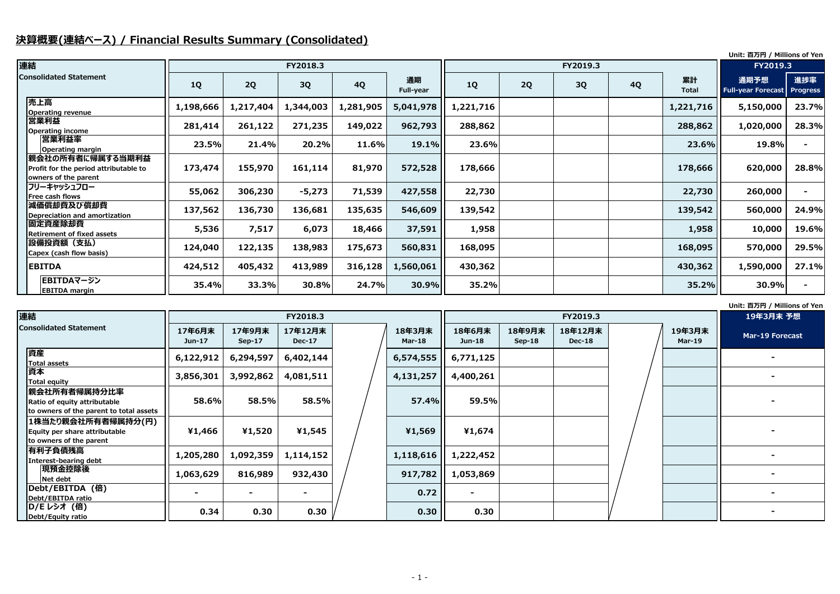# **決算概要(連結ベース) / Financial Results Summary (Consolidated)**

#### **Unit: 百万円 / Millions of Yen**

|                                                                                   |           |           |           |           |                        |           |    |          |           |                    | Unit: 百万円 / Millions of Yen       |                        |
|-----------------------------------------------------------------------------------|-----------|-----------|-----------|-----------|------------------------|-----------|----|----------|-----------|--------------------|-----------------------------------|------------------------|
| 連結<br>FY2018.3<br>FY2019.3                                                        |           |           |           |           |                        |           |    | FY2019.3 |           |                    |                                   |                        |
| <b>Consolidated Statement</b>                                                     | <b>1Q</b> | 2Q        | 3Q        | <b>4Q</b> | 通期<br><b>Full-year</b> | <b>1Q</b> | 2Q | 3Q       | <b>4Q</b> | 累計<br><b>Total</b> | 通期予想<br><b>Full-year Forecast</b> | 進捗率<br><b>Progress</b> |
| 売上高<br><b>Operating revenue</b>                                                   | 1,198,666 | 1,217,404 | 1,344,003 | 1,281,905 | 5,041,978              | 1,221,716 |    |          |           | 1,221,716          | 5,150,000                         | 23.7%                  |
| 営業利益<br><b>Operating income</b>                                                   | 281,414   | 261,122   | 271,235   | 149,022   | 962,793                | 288,862   |    |          |           | 288,862            | 1,020,000                         | 28.3%                  |
| 営業利益率<br>Operating margin                                                         | 23.5%     | 21.4%     | 20.2%     | 11.6%     | 19.1%                  | 23.6%     |    |          |           | 23.6%              | 19.8%                             |                        |
| 親会社の所有者に帰属する当期利益<br>Profit for the period attributable to<br>owners of the parent | 173,474   | 155,970   | 161,114   | 81,970    | 572,528                | 178,666   |    |          |           | 178,666            | 620,000                           | 28.8%                  |
| フリーキャッシュフロー<br>Free cash flows                                                    | 55,062    | 306,230   | $-5,273$  | 71,539    | 427,558                | 22,730    |    |          |           | 22,730             | 260,000                           |                        |
| 減価償却費及び償却費<br>Depreciation and amortization                                       | 137,562   | 136,730   | 136,681   | 135,635   | 546,609                | 139,542   |    |          |           | 139,542            | 560,000                           | 24.9%                  |
| 固定資産除却費<br><b>Retirement of fixed assets</b>                                      | 5,536     | 7,517     | 6,073     | 18,466    | 37,591                 | 1,958     |    |          |           | 1,958              | 10,000                            | 19.6%                  |
| 設備投資額(支払)<br>Capex (cash flow basis)                                              | 124,040   | 122,135   | 138,983   | 175,673   | 560,831                | 168,095   |    |          |           | 168,095            | 570,000                           | 29.5%                  |
| <b>EBITDA</b>                                                                     | 424,512   | 405,432   | 413,989   | 316,128   | 1,560,061              | 430,362   |    |          |           | 430,362            | 1,590,000                         | 27.1%                  |
| EBITDAマージン<br><b>EBITDA margin</b>                                                | 35.4%     | 33.3%     | 30.8%     | 24.7%     | 30.9%                  | 35.2%     |    |          |           | 35.2%              | 30.9%                             |                        |

| 連結                                                                                      |                    |                    | FY2018.3                 |                  |                         |                    | FY2019.3                 |                         | 19年3月末 予想       |
|-----------------------------------------------------------------------------------------|--------------------|--------------------|--------------------------|------------------|-------------------------|--------------------|--------------------------|-------------------------|-----------------|
| <b>Consolidated Statement</b>                                                           | 17年6月末<br>$Jun-17$ | 17年9月末<br>$Sep-17$ | 17年12月末<br><b>Dec-17</b> | 18年3月末<br>Mar-18 | 18年6月末<br><b>Jun-18</b> | 18年9月末<br>$Sep-18$ | 18年12月末<br><b>Dec-18</b> | 19年3月末<br><b>Mar-19</b> | Mar-19 Forecast |
| 資産<br>Total assets                                                                      | 6,122,912          | 6,294,597          | 6,402,144                | 6,574,555        | 6,771,125               |                    |                          |                         |                 |
| 資本<br>Total equity                                                                      | 3,856,301          | 3,992,862          | 4,081,511                | 4,131,257        | 4,400,261               |                    |                          |                         |                 |
| 親会社所有者帰属持分比率<br>Ratio of equity attributable<br>to owners of the parent to total assets | 58.6%              | 58.5%              | 58.5%                    | 57.4%            | 59.5%                   |                    |                          |                         |                 |
| 1株当たり親会社所有者帰属持分(円)<br>Equity per share attributable<br>to owners of the parent          | ¥1,466             | ¥1,520             | ¥1,545                   | ¥1,569           | ¥1,674                  |                    |                          |                         |                 |
| 有利子負債残高<br>Interest-bearing debt                                                        | 1,205,280          | 1,092,359          | 1,114,152                | 1,118,616        | 1,222,452               |                    |                          |                         |                 |
| 現預金控除後<br>Net debt                                                                      | 1,063,629          | 816,989            | 932,430                  | 917,782          | 1,053,869               |                    |                          |                         |                 |
| Debt/EBITDA (倍)<br>Debt/EBITDA ratio                                                    |                    | $\blacksquare$     | $\blacksquare$           | 0.72             | $\blacksquare$          |                    |                          |                         |                 |
| <b>D/E レシオ (倍)</b><br>Debt/Equity ratio                                                 | 0.34               | 0.30               | 0.30                     | 0.30             | 0.30                    |                    |                          |                         |                 |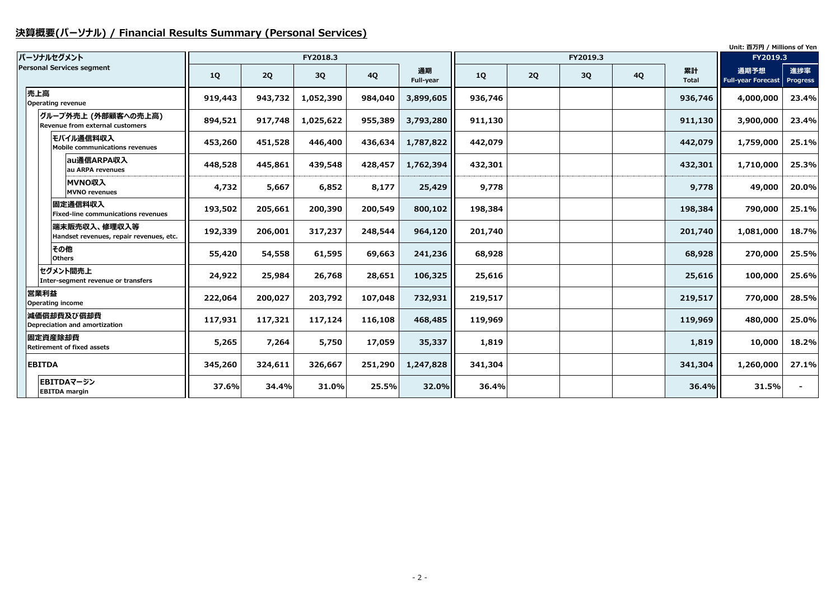# **決算概要(パーソナル) / Financial Results Summary (Personal Services)**

|               |                                                         |           |         |           |           |                        |         |    |          |           |                    | Unit: 百万円 / Millions of Yen       |                        |
|---------------|---------------------------------------------------------|-----------|---------|-----------|-----------|------------------------|---------|----|----------|-----------|--------------------|-----------------------------------|------------------------|
|               | パーソナルセグメント                                              |           |         | FY2018.3  |           |                        |         |    | FY2019.3 |           |                    | FY2019.3                          |                        |
|               | <b>Personal Services segment</b>                        | <b>1Q</b> | 2Q      | 3Q        | <b>4Q</b> | 通期<br><b>Full-year</b> | 1Q      | 2Q | 3Q       | <b>4Q</b> | 累計<br><b>Total</b> | 通期予想<br><b>Full-year Forecast</b> | 進捗率<br><b>Progress</b> |
| 売上高           | Operating revenue                                       | 919,443   | 943,732 | 1,052,390 | 984,040   | 3,899,605              | 936,746 |    |          |           | 936,746            | 4,000,000                         | 23.4%                  |
|               | グループ外売上 (外部顧客への売上高)<br>Revenue from external customers  | 894,521   | 917,748 | 1,025,622 | 955,389   | 3,793,280              | 911,130 |    |          |           | 911,130            | 3,900,000                         | 23.4%                  |
|               | モバイル通信料収入<br>Mobile communications revenues             | 453,260   | 451,528 | 446,400   | 436,634   | 1,787,822              | 442,079 |    |          |           | 442,079            | 1,759,000                         | 25.1%                  |
|               | au通信ARPA収入<br>au ARPA revenues                          | 448,528   | 445,861 | 439,548   | 428,457   | 1,762,394              | 432,301 |    |          |           | 432,301            | 1,710,000                         | 25.3%                  |
|               | MVNO収入<br><b>MVNO revenues</b>                          | 4,732     | 5,667   | 6,852     | 8,177     | 25,429                 | 9,778   |    |          |           | 9,778              | 49,000                            | 20.0%                  |
|               | 固定通信料収入<br><b>Fixed-line communications revenues</b>    | 193,502   | 205,661 | 200,390   | 200,549   | 800,102                | 198,384 |    |          |           | 198,384            | 790,000                           | 25.1%                  |
|               | 端末販売収入、修理収入等<br>Handset revenues, repair revenues, etc. | 192,339   | 206,001 | 317,237   | 248,544   | 964,120                | 201,740 |    |          |           | 201,740            | 1,081,000                         | 18.7%                  |
|               | その他<br><b>Others</b>                                    | 55,420    | 54,558  | 61,595    | 69,663    | 241,236                | 68,928  |    |          |           | 68,928             | 270,000                           | 25.5%                  |
|               | セグメント間売上<br>Inter-segment revenue or transfers          | 24,922    | 25,984  | 26,768    | 28,651    | 106,325                | 25,616  |    |          |           | 25,616             | 100,000                           | 25.6%                  |
| 営業利益          | <b>Operating income</b>                                 | 222,064   | 200,027 | 203,792   | 107,048   | 732,931                | 219,517 |    |          |           | 219,517            | 770,000                           | 28.5%                  |
|               | 減価償却費及び償却費<br>Depreciation and amortization             | 117,931   | 117,321 | 117,124   | 116,108   | 468,485                | 119,969 |    |          |           | 119,969            | 480,000                           | 25.0%                  |
|               | 固定資産除却費<br><b>Retirement of fixed assets</b>            | 5,265     | 7,264   | 5,750     | 17,059    | 35,337                 | 1,819   |    |          |           | 1,819              | 10,000                            | 18.2%                  |
| <b>EBITDA</b> |                                                         | 345,260   | 324,611 | 326,667   | 251,290   | 1,247,828              | 341,304 |    |          |           | 341,304            | 1,260,000                         | 27.1%                  |
|               | EBITDAマージン<br><b>EBITDA</b> margin                      | 37.6%     | 34.4%   | 31.0%     | 25.5%     | 32.0%                  | 36.4%   |    |          |           | 36.4%              | 31.5%                             |                        |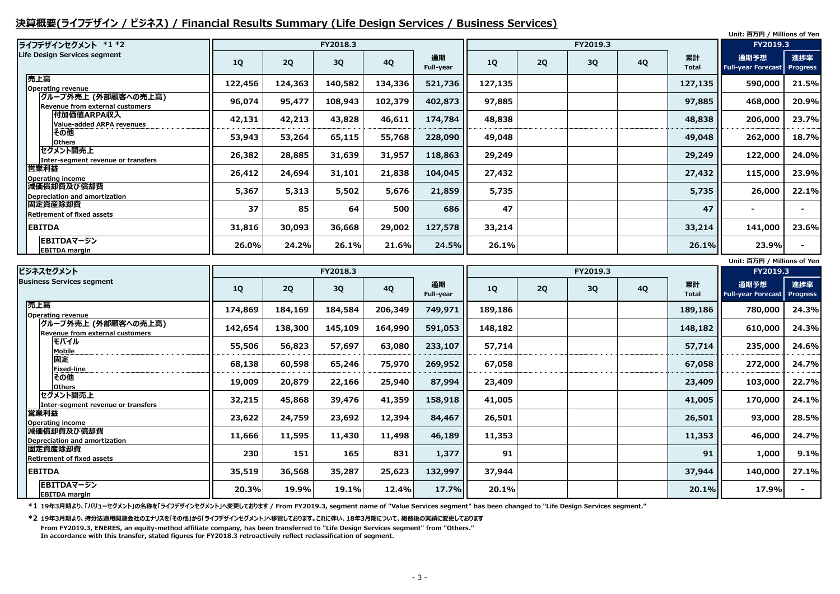### **決算概要(ライフデザイン / ビジネス) / Financial Results Summary (Life Design Services / Business Services)**

|                                                               |         |         |          |           |                 |           |    |           |           |                    | Unit: 百万円 / Millions of Yen       |                        |
|---------------------------------------------------------------|---------|---------|----------|-----------|-----------------|-----------|----|-----------|-----------|--------------------|-----------------------------------|------------------------|
| ライフデザインセグメント *1 *2                                            |         |         | FY2018.3 |           |                 |           |    | FY2019.3  |           |                    | FY2019.3                          |                        |
| Life Design Services segment                                  | 1Q      | 2Q      | 3Q       | <b>4Q</b> | 通期<br>Full-year | <b>1Q</b> | 2Q | <b>3Q</b> | <b>4Q</b> | 累計<br><b>Total</b> | 通期予想<br><b>Full-year Forecast</b> | 進捗率<br><b>Progress</b> |
| 売上高<br><b>Operating revenue</b>                               | 122,456 | 124,363 | 140,582  | 134,336   | 521,736         | 127,135   |    |           |           | 127,135            | 590,000                           | 21.5%                  |
| グループ外売上 (外部顧客への売上高)<br><b>Revenue from external customers</b> | 96,074  | 95,477  | 108,943  | 102,379   | 402,873         | 97,885    |    |           |           | 97,885             | 468,000                           | 20.9%                  |
| <b>付加価値ARPA収入</b><br><b>Value-added ARPA revenues</b>         | 42,131  | 42,213  | 43,828   | 46,611    | 174,784         | 48,838    |    |           |           | 48,838             | 206,000                           | 23.7%                  |
| その他<br><b>Others</b>                                          | 53,943  | 53,264  | 65,115   | 55,768    | 228,090         | 49,048    |    |           |           | 49,048             | 262,000                           | 18.7%                  |
| セグメント間売上<br>Inter-segment revenue or transfers                | 26,382  | 28,885  | 31,639   | 31,957    | 118,863         | 29,249    |    |           |           | 29,249             | 122,000                           | 24.0%                  |
| 営業利益<br><b>Operating income</b>                               | 26,412  | 24,694  | 31,101   | 21,838    | 104,045         | 27,432    |    |           |           | 27,432             | 115,000                           | 23.9%                  |
| 減価償却費及び償却費<br><b>Depreciation and amortization</b>            | 5,367   | 5,313   | 5,502    | 5,676     | 21,859          | 5,735     |    |           |           | 5,735              | 26,000                            | 22.1%                  |
| 固定資産除却費<br><b>Retirement of fixed assets</b>                  | 37      | 85      | 64       | 500       | 686             | 47        |    |           |           | 47                 |                                   |                        |
| <b>EBITDA</b>                                                 | 31,816  | 30,093  | 36,668   | 29,002    | 127,578         | 33,214    |    |           |           | 33,214             | 141,000                           | 23.6%                  |
| EBITDAマージン<br><b>EBITDA</b> margin                            | 26.0%   | 24.2%   | 26.1%    | 21.6%     | 24.5%           | 26.1%     |    |           |           | 26.1%              | 23.9%                             |                        |
|                                                               |         |         |          |           |                 |           |    |           |           |                    | Unit: 百万円 / Millions of Yen       |                        |
| $12 \times 4 = 14$ $H_1$ $I \times 1$                         |         |         | T1222222 |           |                 |           |    | F1120100  |           |                    | F1222422                          |                        |

**\*1 19年3月期より、「バリューセグメント」の名称を「ライフデザインセグメント」へ変更しております / From FY2019.3, segment name of "Value Services segment" has been changed to "Life Design Services segment."**

| ビジネスセグメント                                               |         |         | FY2018.3 |           |                 | FY2019.3 |    |    |           |                    | FY2019.3                                   |       |
|---------------------------------------------------------|---------|---------|----------|-----------|-----------------|----------|----|----|-----------|--------------------|--------------------------------------------|-------|
| <b>Business Services segment</b>                        | 1Q      | 2Q      | 3Q       | <b>4Q</b> | 通期<br>Full-year | 1Q       | 2Q | 3Q | <b>4Q</b> | 累計<br><b>Total</b> | 通期予想<br><b>Full-year Forecast Progress</b> | 進捗率   |
| 売上高<br><b>Operating revenue</b>                         | 174,869 | 184,169 | 184,584  | 206,349   | 749,971         | 189,186  |    |    |           | 189,186            | 780,000                                    | 24.3% |
| グループ外売上 (外部顧客への売上高) <br>Revenue from external customers | 142,654 | 138,300 | 145,109  | 164,990   | 591,053         | 148,182  |    |    |           | 148,182            | 610,000                                    | 24.3% |
| モバイル<br><b>Mobile</b>                                   | 55,506  | 56,823  | 57,697   | 63,080    | 233,107         | 57,714   |    |    |           | 57,714             | 235,000                                    | 24.6% |
| 固定<br><b>Fixed-line</b>                                 | 68,138  | 60,598  | 65,246   | 75,970    | 269,952         | 67,058   |    |    |           | 67,058             | 272,000                                    | 24.7% |
| その他<br><b>Others</b>                                    | 19,009  | 20,879  | 22,166   | 25,940    | 87,994          | 23,409   |    |    |           | 23,409             | 103,000                                    | 22.7% |
| セグメント間売上<br>Inter-segment revenue or transfers          | 32,215  | 45,868  | 39,476   | 41,359    | 158,918         | 41,005   |    |    |           | 41,005             | 170,000                                    | 24.1% |
| 営業利益<br><b>Operating income</b>                         | 23,622  | 24,759  | 23,692   | 12,394    | 84,467          | 26,501   |    |    |           | 26,501             | 93,000                                     | 28.5% |
| 減価償却費及び償却費<br>Depreciation and amortization             | 11,666  | 11,595  | 11,430   | 11,498    | 46,189          | 11,353   |    |    |           | 11,353             | 46,000                                     | 24.7% |
| 固定資産除却費<br><b>Retirement of fixed assets</b>            | 230     | 151     | 165      | 831       | 1,377           | 91       |    |    |           | 91                 | 1,000                                      | 9.1%  |
| <b>EBITDA</b>                                           | 35,519  | 36,568  | 35,287   | 25,623    | 132,997         | 37,944   |    |    |           | 37,944             | 140,000                                    | 27.1% |
| EBITDAマージン<br><b>EBITDA</b> margin                      | 20.3%   | 19.9%   | 19.1%    | 12.4%     | 17.7%           | 20.1%    |    |    |           | 20.1%              | 17.9%                                      |       |

**\*2 19年3月期より、持分法適用関連会社のエナリスを「その他」から「ライフデザインセグメント」へ移管しております。これに伴い、18年3月期について、組替後の実績に変更しております From FY2019.3, ENERES, an equity-method affiliate company, has been transferred to "Life Design Services segment" from "Others." In accordance with this transfer, stated figures for FY2018.3 retroactively reflect reclassification of segment.**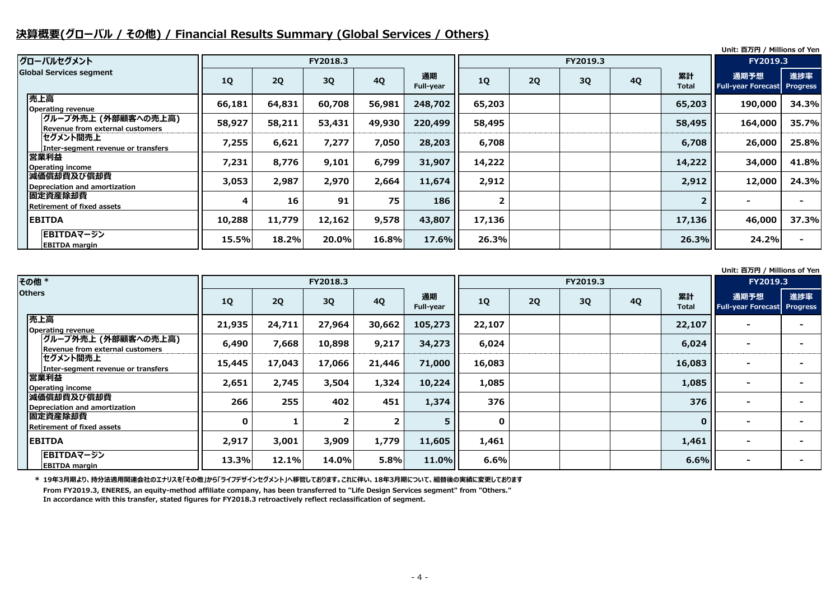# **決算概要(グローバル / その他) / Financial Results Summary (Global Services / Others)**

**Unit: 百万円 / Millions of Yen**

#### **Unit: 百万円 / Millions of Yen**

| グローバルセグメント                                              |           | FY2019.3<br>FY2018.3 |          |           |                        |                |    |    | <b>FY2019.3</b> |                    |                                            |       |
|---------------------------------------------------------|-----------|----------------------|----------|-----------|------------------------|----------------|----|----|-----------------|--------------------|--------------------------------------------|-------|
| <b>Global Services segment</b>                          | <b>1Q</b> | 2Q                   | 3Q       | <b>4Q</b> | 通期<br><b>Full-year</b> | <b>1Q</b>      | 2Q | 3Q | <b>4Q</b>       | 累計<br><b>Total</b> | 通期予想<br><b>Full-year Forecast Progress</b> | 進捗率   |
| 売上高<br><b>Operating revenue</b>                         | 66,181    | 64,831               | 60,708   | 56,981    | 248,702                | 65,203         |    |    |                 | 65,203             | 190,000                                    | 34.3% |
| グループ外売上 (外部顧客への売上高) <br>Revenue from external customers | 58,927    | 58,211               | 53,431   | 49,930    | 220,499                | 58,495         |    |    |                 | 58,495             | 164,000                                    | 35.7% |
| セグメント間売上<br>Inter-segment revenue or transfers          | 7,255     | 6,621                | 7,277    | 7,050     | 28,203                 | 6,708          |    |    |                 | 6,708              | 26,000                                     | 25.8% |
| 営業利益<br><b>Operating income</b>                         | 7,231     | 8,776                | 9,101    | 6,799     | 31,907                 | 14,222         |    |    |                 | 14,222             | 34,000                                     | 41.8% |
| 減価償却費及び償却費<br>Depreciation and amortization             | 3,053     | 2,987                | 2,970    | 2,664     | 11,674                 | 2,912          |    |    |                 | 2,912              | 12,000                                     | 24.3% |
| 固定資産除却費<br><b>Retirement of fixed assets</b>            | 4         | 16                   | 91       | 75        | 186                    | $\overline{2}$ |    |    |                 |                    |                                            |       |
| <b>EBITDA</b>                                           | 10,288    | 11,779               | 12,162   | 9,578     | 43,807                 | 17,136         |    |    |                 | 17,136             | 46,000                                     | 37.3% |
| EBITDAマージン<br><b>EBITDA margin</b>                      | 15.5%     | 18.2%                | $20.0\%$ | 16.8%     | 17.6%                  | 26.3%          |    |    |                 | 26.3%              | 24.2%                                      |       |

**\* 19年3月期より、持分法適用関連会社のエナリスを「その他」から「ライフデザインセグメント」へ移管しております。これに伴い、18年3月期について、組替後の実績に変更しております From FY2019.3, ENERES, an equity-method affiliate company, has been transferred to "Life Design Services segment" from "Others." In accordance with this transfer, stated figures for FY2018.3 retroactively reflect reclassification of segment.**

| <b>その他*</b>                                            |             |        | FY2018.3 |                |                        |             |    | FY2019.3 |           |                    | FY2019.3                               |    |
|--------------------------------------------------------|-------------|--------|----------|----------------|------------------------|-------------|----|----------|-----------|--------------------|----------------------------------------|----|
| <b>Others</b>                                          | <b>1Q</b>   | 2Q     | 3Q       | <b>4Q</b>      | 通期<br><b>Full-year</b> | 1Q          | 2Q | 3Q       | <b>4Q</b> | 累計<br><b>Total</b> | 通期予想<br><b>Full-year Forecast Prog</b> | 進抄 |
| 売上高<br><b>Operating revenue</b>                        | 21,935      | 24,711 | 27,964   | 30,662         | 105,273                | 22,107      |    |          |           | 22,107             |                                        |    |
| グループ外売上 (外部顧客への売上高)<br>Revenue from external customers | 6,490       | 7,668  | 10,898   | 9,217          | 34,273                 | 6,024       |    |          |           | 6,024              | $\overline{\phantom{0}}$               |    |
| セグメント間売上<br>Inter-segment revenue or transfers         | 15,445      | 17,043 | 17,066   | 21,446         | 71,000                 | 16,083      |    |          |           | 16,083             | $\blacksquare$                         |    |
| 営業利益<br><b>Operating income</b>                        | 2,651       | 2,745  | 3,504    | 1,324          | 10,224                 | 1,085       |    |          |           | 1,085              | $\overline{\phantom{a}}$               |    |
| 減価償却費及び償却費<br>Depreciation and amortization            | 266         | 255    | 402      | 451            | 1,374                  | 376         |    |          |           | 376                |                                        |    |
| 固定資産除却費<br><b>Retirement of fixed assets</b>           | $\mathbf 0$ |        |          | $\overline{2}$ |                        | $\mathbf 0$ |    |          |           | $\mathbf{0}$       | $\overline{\phantom{0}}$               |    |
| <b>EBITDA</b>                                          | 2,917       | 3,001  | 3,909    | 1,779          | 11,605                 | 1,461       |    |          |           | 1,461              | $\overline{\phantom{a}}$               |    |
| EBITDAマージン<br><b>EBITDA margin</b>                     | 13.3%       | 12.1%  | 14.0%    | 5.8%           | 11.0%                  | 6.6%        |    |          |           | 6.6%               | $\blacksquare$                         |    |

|                  | FY2019.3                          |                        |
|------------------|-----------------------------------|------------------------|
| 错<br>otal        | 通期予想<br><b>Full-year Forecast</b> | 進捗率<br><b>Progress</b> |
| 2,107            |                                   |                        |
| 5,024            |                                   |                        |
| 5,083            |                                   |                        |
| L,085            |                                   |                        |
| 376              |                                   |                        |
| $\boldsymbol{0}$ |                                   |                        |
| L,461            |                                   |                        |
| 6.6%             |                                   |                        |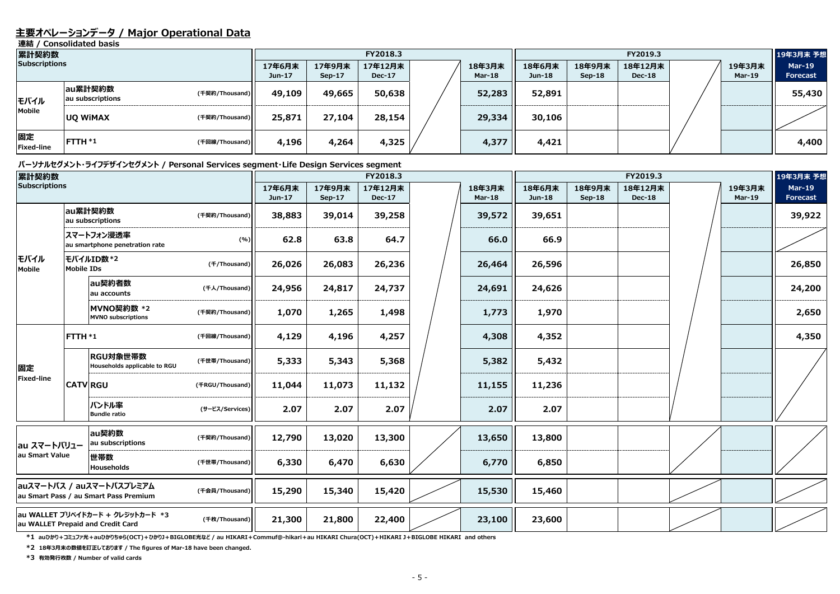### **主要オペレーションデータ / Major Operational Data**

**連結 / Consolidated basis**

#### **パーソナルセグメント・ライフデザインセグメント / Personal Services segment・Life Design Services segment**

| 累計契約数                   |                             |                |                    |                    | FY2018.3                 |                  |                    |                    | FY2019.3                 |                         | 19年3月末 予想                        |
|-------------------------|-----------------------------|----------------|--------------------|--------------------|--------------------------|------------------|--------------------|--------------------|--------------------------|-------------------------|----------------------------------|
| <b>Subscriptions</b>    |                             |                | 17年6月末<br>$Jun-17$ | 17年9月末<br>$Sep-17$ | 17年12月末<br><b>Dec-17</b> | 18年3月末<br>Mar-18 | 18年6月末<br>$Jun-18$ | 18年9月末<br>$Sep-18$ | 18年12月末<br><b>Dec-18</b> | 19年3月末<br><b>Mar-19</b> | <b>Mar-19</b><br><b>Forecast</b> |
| モバイル                    | au累計契約数<br>au subscriptions | (千契約/Thousand) | 49,109             | 49,665             | 50,638                   | 52,283           | 52,891             |                    |                          |                         | 55,430                           |
| Mobile                  | <b>UQ WIMAX</b>             | (千契約/Thousand) | 25,871             | 27,104             | 28,154                   | 29,334           | 30,106             |                    |                          |                         |                                  |
| 固定<br><b>Fixed-line</b> | <b>FTTH *1</b>              | (千回線/Thousand) | 4,196              | 4,264              | 4,325                    | 4,377            | 4,421              |                    |                          |                         | 4,400                            |

**\*1 auひかり+コミュファ光+auひかりちゅら(OCT)+ひかりJ+BIGLOBE光など / au HIKARI+Commuf@-hikari+au HIKARI Chura(OCT)+HIKARI J+BIGLOBE HIKARI and others**

**\*2 18年3月末の数値を訂正しております / The figures of Mar-18 have been changed.**

| 累計契約数                |                   |                                                                       |                       |                  |                         | FY2018.3                 |                         |                  |                         | FY2019.3                 |  |                         | 19年3月末 予想                        |
|----------------------|-------------------|-----------------------------------------------------------------------|-----------------------|------------------|-------------------------|--------------------------|-------------------------|------------------|-------------------------|--------------------------|--|-------------------------|----------------------------------|
| <b>Subscriptions</b> |                   |                                                                       |                       | 17年6月末<br>Jun-17 | 17年9月末<br><b>Sep-17</b> | 17年12月末<br><b>Dec-17</b> | 18年3月末<br><b>Mar-18</b> | 18年6月末<br>Jun-18 | 18年9月末<br><b>Sep-18</b> | 18年12月末<br><b>Dec-18</b> |  | 19年3月末<br><b>Mar-19</b> | <b>Mar-19</b><br><b>Forecast</b> |
|                      |                   | au累計契約数<br>au subscriptions                                           | (千契約/Thousand)        | 38,883           | 39,014                  | 39,258                   | 39,572                  | 39,651           |                         |                          |  |                         | 39,922                           |
|                      |                   | スマートフォン浸透率<br>au smartphone penetration rate                          | (%)                   | 62.8             | 63.8                    | 64.7                     | 66.0                    | 66.9             |                         |                          |  |                         |                                  |
| モバイル<br>Mobile       | <b>Mobile IDs</b> | モバイルID数*2                                                             | ( <i>千</i> /Thousand) | 26,026           | 26,083                  | 26,236                   | 26,464                  | 26,596           |                         |                          |  |                         | 26,850                           |
|                      |                   | au契約者数<br>au accounts                                                 | (千人/Thousand)         | 24,956           | 24,817                  | 24,737                   | 24,691                  | 24,626           |                         |                          |  |                         | 24,200                           |
|                      |                   | MVNO契約数 *2<br><b>MVNO</b> subscriptions                               | (千契約/Thousand)        | 1,070            | 1,265                   | 1,498                    | 1,773                   | 1,970            |                         |                          |  |                         | 2,650                            |
|                      | FTTH *1           |                                                                       | (千回線/Thousand)        | 4,129            | 4,196                   | 4,257                    | 4,308                   | 4,352            |                         |                          |  |                         | 4,350                            |
| 固定                   |                   | RGU対象世帯数<br>Households applicable to RGU                              | (千世帯/Thousand)        | 5,333            | 5,343                   | 5,368                    | 5,382                   | 5,432            |                         |                          |  |                         |                                  |
| <b>Fixed-line</b>    |                   | <b>CATV RGU</b>                                                       | (FRGU/Thousand)       | 11,044           | 11,073                  | 11,132                   | 11,155                  | 11,236           |                         |                          |  |                         |                                  |
|                      |                   | バンドル率<br><b>Bundle ratio</b>                                          | (サービス/Services)       | 2.07             | 2.07                    | 2.07                     | 2.07                    | 2.07             |                         |                          |  |                         |                                  |
| au スマートバリュー          |                   | au契約数<br>au subscriptions                                             | (千契約/Thousand)        | 12,790           | 13,020                  | 13,300                   | 13,650                  | 13,800           |                         |                          |  |                         |                                  |
| au Smart Value       |                   | 世帯数<br>Households                                                     | (千世帯/Thousand)        | 6,330            | 6,470                   | 6,630                    | 6,770                   | 6,850            |                         |                          |  |                         |                                  |
|                      |                   | auスマートパス / auスマートパスプレミアム<br>au Smart Pass / au Smart Pass Premium     | (千会員/Thousand)        | 15,290           | 15,340                  | 15,420                   | 15,530                  | 15,460           |                         |                          |  |                         |                                  |
|                      |                   | au WALLET プリペイドカード + クレジットカード *3<br>au WALLET Prepaid and Credit Card | (千枚/Thousand)         | 21,300           | 21,800                  | 22,400                   | 23,100                  | 23,600           |                         |                          |  |                         |                                  |

**\*3 有効発行枚数 / Number of valid cards**

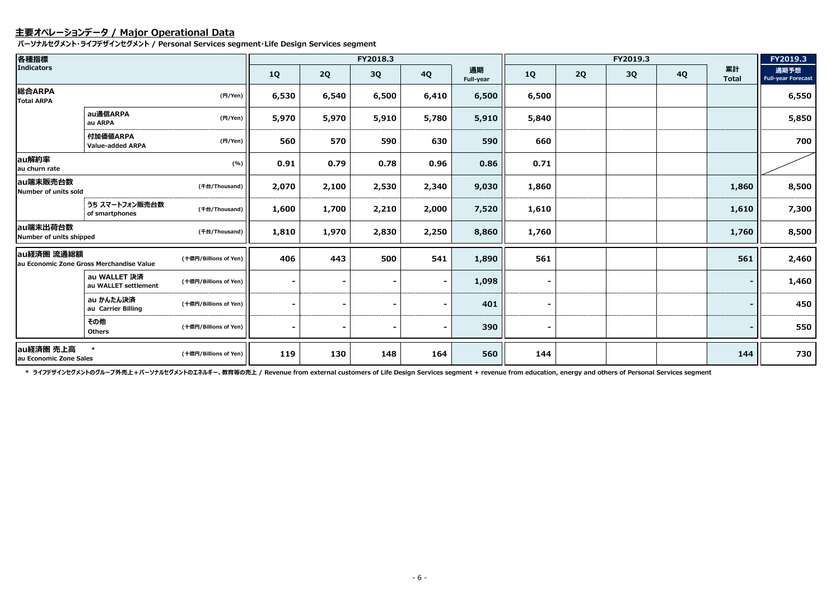## **主要オペレーションデータ / Major Operational Data**

**パーソナルセグメント・ライフデザインセグメント / Personal Services segment・Life Design Services segment**

| 各種指標                                                    |                                          |                       |           |                | FY2018.3 |                |                 |           |    | FY2019.3 |           |                    | FY2019.3                          |
|---------------------------------------------------------|------------------------------------------|-----------------------|-----------|----------------|----------|----------------|-----------------|-----------|----|----------|-----------|--------------------|-----------------------------------|
| <b>Indicators</b>                                       |                                          |                       | <b>1Q</b> | 2Q             | 3Q       | <b>4Q</b>      | 通期<br>Full-year | <b>1Q</b> | 2Q | 3Q       | <b>4Q</b> | 累計<br><b>Total</b> | 通期予想<br><b>Full-year Forecast</b> |
| 総合ARPA<br><b>Total ARPA</b>                             |                                          | (円/Yen)               | 6,530     | 6,540          | 6,500    | 6,410          | 6,500           | 6,500     |    |          |           |                    | 6,550                             |
|                                                         | au通信ARPA<br>au ARPA                      | (H/Yen)               | 5,970     | 5,970          | 5,910    | 5,780          | 5,910           | 5,840     |    |          |           |                    | 5,850                             |
|                                                         | 付加価値ARPA<br>Value-added ARPA             | (円/Yen)               | 560       | 570            | 590      | 630            | 590             | 660       |    |          |           |                    | 700                               |
| au解約率<br>au churn rate                                  |                                          | (% )                  | 0.91      | 0.79           | 0.78     | 0.96           | 0.86            | 0.71      |    |          |           |                    |                                   |
| lau端末販売台数<br>Number of units sold                       |                                          | (千台/Thousand)         | 2,070     | 2,100          | 2,530    | 2,340          | 9,030           | 1,860     |    |          |           | 1,860              | 8,500                             |
|                                                         | うち スマートフォン販売台数<br>of smartphones         | (千台/Thousand)         | 1,600     | 1,700          | 2,210    | 2,000          | 7,520           | 1,610     |    |          |           | 1,610              | 7,300                             |
| au端末出荷台数<br>Number of units shipped                     |                                          | (千台/Thousand)         | 1,810     | 1,970          | 2,830    | 2,250          | 8,860           | 1,760     |    |          |           | 1,760              | 8,500                             |
| au経済圏 流通総額                                              | au Economic Zone Gross Merchandise Value | (十億円/Billions of Yen) | 406       | 443            | 500      | 541            | 1,890           | 561       |    |          |           | 561                | 2,460                             |
|                                                         | au WALLET 決済<br>au WALLET settlement     | (十億円/Billions of Yen) |           |                |          |                | 1,098           |           |    |          |           |                    | 1,460                             |
| au かんたん決済<br>au Carrier Billing<br>その他<br><b>Others</b> | (十億円/Billions of Yen)                    |                       |           |                |          | 401            |                 |           |    |          |           | 450                |                                   |
|                                                         |                                          | (十億円/Billions of Yen) |           | $\blacksquare$ |          | $\blacksquare$ | 390             |           |    |          |           |                    | 550                               |
| au経済圏 売上高<br>au Economic Zone Sales                     | $\ast$                                   | (十億円/Billions of Yen) | 119       | 130            | 148      | 164            | 560             | 144       |    |          |           | 144                | 730                               |

\* ライフデザインセグメントのグループ外売上+パーソナルセグメントのエネルギー、教育等の売上 / Revenue from external customers of Life Design Services segment + revenue from education, energy and others of Personal Services segment